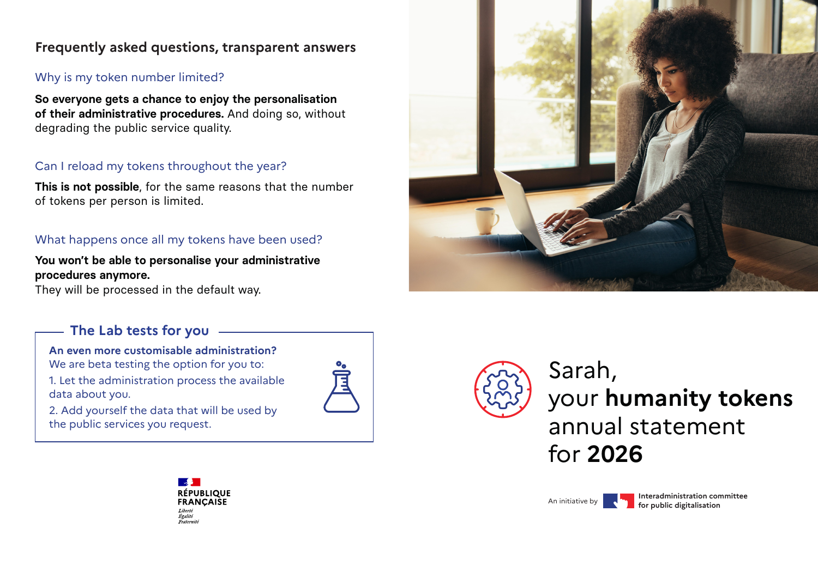## **Frequently asked questions, transparent answers**

#### Why is my token number limited?

**So everyone gets a chance to enjoy the personalisation of their administrative procedures.** And doing so, without degrading the public service quality.

## Can I reload my tokens throughout the year?

**This is not possible**, for the same reasons that the number of tokens per person is limited.

## What happens once all my tokens have been used?

#### **You won't be able to personalise your administrative procedures anymore.**

They will be processed in the default way.

## **The Lab tests for you**

**An even more customisable administration?** We are beta testing the option for you to: 1. Let the administration process the available data about you.

2. Add yourself the data that will be used by the public services you request.







An initiative by **Interadministration committee for public digitalisation**